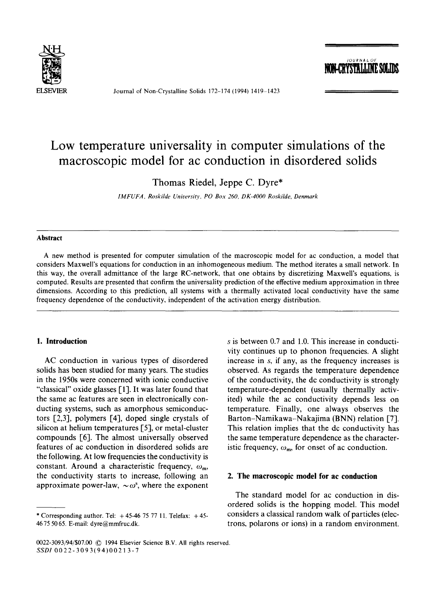

Journal of Non-Crystalline Solids 172-174 (1994) 1419-1423

*JOURNA L OF* 

# **Low temperature universality in computer simulations of the macroscopic model for ac conduction in disordered solids**

Thomas Riedel, Jeppe C. Dyre\*

*IMFUFA, Roskilde University, PO Box 260, DK-4000 Roskilde, Denmark* 

#### **Abstract**

A new method is presented for computer simulation of the macroscopic model for ac conduction, a model that considers Maxwell's equations for conduction in an inhomogeneous medium. The method iterates a small network. In this way, the overall admittance of the large RC-network, that one obtains by discretizing Maxwell's equations, is computed. Results are presented that confirm the universality prediction of the effective medium approximation in three dimensions. According to this prediction, all systems with a thermally activated local conductivity have the same frequency dependence of the conductivity, independent of the activation energy distribution.

#### **1. Introduction**

AC conduction in various types of disordered solids has been studied for many years. The studies in the 1950s were concerned with ionic conductive "classical" oxide glasses [1]. It was later found that the same ac features are seen in electronically conducting systems, such as amorphous semiconductors [2,3], polymers [4], doped single crystals of silicon at helium temperatures [5], or metal-cluster compounds  $[6]$ . The almost universally observed features of ac conduction in disordered solids are the following. At low frequencies the conductivity is constant. Around a characteristic frequency,  $\omega_{m}$ , the conductivity starts to increase, following an approximate power-law,  $\sim \omega^s$ , where the exponent s is between 0.7 and 1.0. This increase in conductivity continues up to phonon frequencies. A slight increase in s, if any, as the frequency increases is observed. As regards the temperature dependence of the conductivity, the dc conductivity is strongly temperature-dependent (usually thermally activited) while the ac conductivity depends less on temperature. Finally, one always observes the Barton-Namikawa-Nakajima (BNN) relation [7]. This relation implies that the dc conductivity has the same temperature dependence as the characteristic frequency,  $\omega_m$ , for onset of ac conduction.

## **2. The macroscopic model for ac conduction**

The standard model for ac conduction in disordered solids is the hopping model. This model considers a classical random walk of particles (electrons, polarons or ions) in a random environment.

<sup>\*</sup> Corresponding author. Tel:  $+45-46$  75 77 11. Telefax:  $+45-$ 46 75 50 65. E-mail: dyre@mmfruc.dk.

<sup>0022-3093/94/\$07.00 © 1994</sup> Elsevier Science B.V. All rights reserved. *SSDI* 0022-3093(94)0021 3-7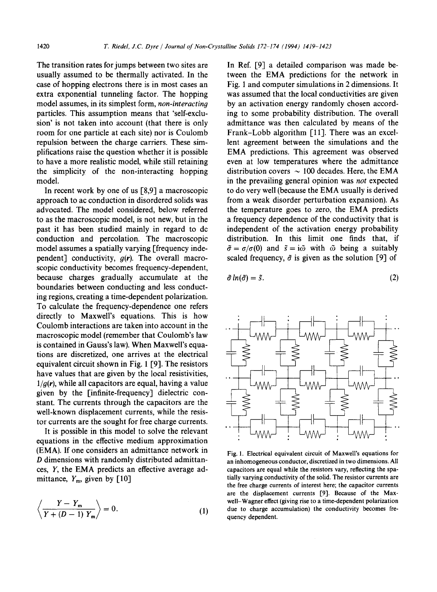The transition rates for jumps between two sites are usually assumed to be thermally activated. In the case of hopping electrons there is in most cases an extra exponential tunneling factor, The hopping model assumes, in its simplest form, *non-interacting*  particles. This assumption means that 'self-exclusion' is not taken into account (that there is only room for one particle at each site) nor is Coulomb repulsion between the charge carriers. These simplifications raise the question whether it is possible to have a more realistic model, while still retaining the simplicity of the non-interacting hopping model.

In recent work by one of us [8,9] a macroscopic approach to ac conduction in disordered solids was advocated. The model considered, below referred to as the macroscopic model, is not new, but in the past it has been studied mainly in regard to dc conduction and percolation. The macroscopic model assumes a spatially varying [frequency independent] conductivity, *g(r).* The overall macroscopic conductivity becomes frequency-dependent, because charges gradually accumulate at the boundaries between conducting and less conducting regions, creating a time-dependent polarization. To calculate the frequency-dependence one refers directly to Maxwell's equations. This is how Coulomb interactions are taken into account in the macroscopic model (remember that Coulomb's law is contained in Gauss's law). When Maxwell's equations are discretized, one arrives at the electrical equivalent circuit shown in Fig. 1 [9]. The resistors have values that are given by the local resistivities,  $1/q(r)$ , while all capacitors are equal, having a value given by the [infinite-frequency] dielectric constant. The currents through the capacitors are the well-known displacement currents, while the resistor currents are the sought for free charge currents.

It is possible in this model to solve the relevant equations in the effective medium approximation (EMA). If one considers an admittance network in D dimensions with randomly distributed admittances, Y, the EMA predicts an effective average admittance,  $Y_{\text{m}}$ , given by [10]

$$
\left\langle \frac{Y - Y_{\rm m}}{Y + (D - 1) Y_{\rm m}} \right\rangle = 0.
$$
 (1)

In Ref. [9] a detailed comparison was made between the EMA predictions for the network in Fig. 1 and computer simulations in 2 dimensions. It was assumed that the local conductivities are given by an activation energy randomly chosen according to some probability distribution. The overall admittance was then calculated by means of the Frank-Lobb algorithm [11]. There was an excellent agreement between the simulations and the EMA predictions. This agreement was observed even at low temperatures where the admittance distribution covers  $\sim 100$  decades. Here, the EMA in the prevailing general opinion was *not* expected to do very well (because the EMA usually is derived from a weak disorder perturbation expansion). As the temperature goes to zero, the EMA predicts a frequency dependence of the conductivity that is independent of the activation energy probability distribution. In this limit one finds that, if  $\tilde{\sigma} = \sigma/\sigma(0)$  and  $\tilde{s} = i\tilde{\omega}$  with  $\tilde{\omega}$  being a suitably scaled frequency,  $\tilde{\sigma}$  is given as the solution [9] of

$$
\tilde{\sigma}\ln(\tilde{\sigma}) = \tilde{s}.\tag{2}
$$



Fig. 1. Electrical equivalent circuit of Maxwell's equations for an inhomogeneous conductor, discretized in two dimensions. All capacitors are equal while the resistors vary, reflecting the spatially varying conductivity of the solid. The resistor currents are the free charge currents of interest here; the capacitor currents are the displacement currents 19]. Because of the Maxwell-Wagner effect (giving rise to a time-dependent polarization due to charge accumulation) the conductivity becomes frequency dependent.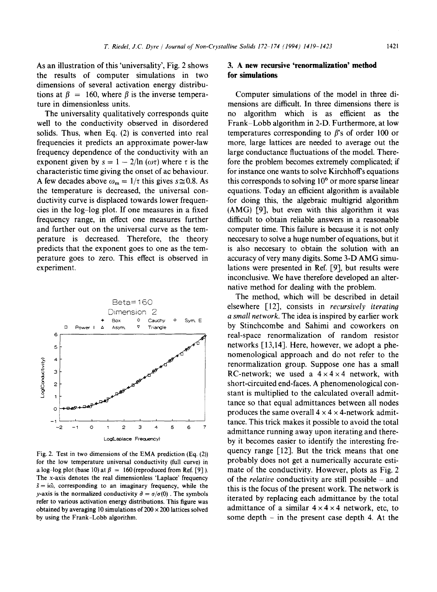As an illustration of this 'universality', Fig. 2 shows the results of computer simulations in two dimensions of several activation energy distributions at  $\beta = 160$ , where  $\beta$  is the inverse temperature in dimensionless units.

The universality qualitatively corresponds quite well to the conductivity observed in disordered solids. Thus, when Eq. (2) is converted into real frequencies it predicts an approximate power-law frequency dependence of the conductivity with an exponent given by  $s = 1 - 2/\ln (\omega \tau)$  where  $\tau$  is the characteristic time giving the onset of ac behaviour. A few decades above  $\omega_m = 1/\tau$  this gives  $s \approx 0.8$ . As the temperature is decreased, the universal conductivity curve is displaced towards lower frequencies in the log-log plot. If one measures in a fixed frequency range, in effect one measures further and further out on the universal curve as the temperature is decreased. Therefore, the theory predicts that the exponent goes to one as the temperature goes to zero. This effect is observed in experiment.



Fig. 2. Test in two dimensions of the EMA prediction (Eq. (2)) for the low temperature universal conductivity (full curve) in a log-log plot (base 10) at  $\beta = 160$  (reproduced from Ref. [9] ). The x-axis denotes the real dimensionless 'Laplace' frequency  $\tilde{s} = i\tilde{\omega}$ , corresponding to an imaginary frequency, while the *y*-axis is the normalized conductivity  $\tilde{\sigma} = \sigma/\sigma(0)$ . The symbols **refer** to various activation energy distributions. This figure was obtained by averaging 10 simulations of  $200 \times 200$  lattices solved by using the Frank-Lobb algorithm.

# **3. A new recursive 'renormalization' method for simulations**

Computer simulations of the model in three dimensions are difficult. In three dimensions there is no algorithm which is as efficient as the Frank-Lobb algorithm in 2-D. Furthermore, at low temperatures corresponding to  $\beta$ 's of order 100 or more, large lattices are needed to average out the large conductance fluctuations of the model. Therefore the problem becomes extremely complicated; if for instance one wants to solve Kirchhoff's equations this corresponds to solving  $10<sup>6</sup>$  or more sparse linear equations. Today an efficient algorithm is available for doing this, the algebraic multigrid algorithm (AMG) [9], but even with this algorithm it was difficult to obtain reliable answers in a reasonable computer time. This failure is because it is not only neccesary to solve a huge number of equations, but it is also neccesary to obtain the solution with an accuracy of very many digits. Some 3-D AMG simulations were presented in Ref. [9], but results were inconclusive. We have therefore developed an alternative method for dealing with the problem.

The method, which will be described in detail elsewhere [12], consists in *recursively iterating a small network.* The idea is inspired by earlier work by Stinchcombe and Sahimi and coworkers on real-space renormalization of random resistor networks [13,14]. Here, however, we adopt a phenomenological approach and do not refer to the renormalization group. Suppose one has a small RC-network; we used a  $4 \times 4 \times 4$  network, with short-circuited end-faces. A phenomenological constant is multiplied to the calculated overall admittance so that equal admittances between all nodes produces the same overall  $4 \times 4 \times 4$ -network admittance. This trick makes it possible to avoid the total admittance running away upon iterating and thereby it becomes easier to identify the interesting frequency range [12]. But the trick means that one probably does not get a numerically accurate estimate of the conductivity. However, plots as Fig. 2 of the *relative* conductivity are still possible - and this is the focus of the present work. The network is iterated by replacing each admittance by the total admittance of a similar  $4 \times 4 \times 4$  network, etc, to some depth  $-$  in the present case depth 4. At the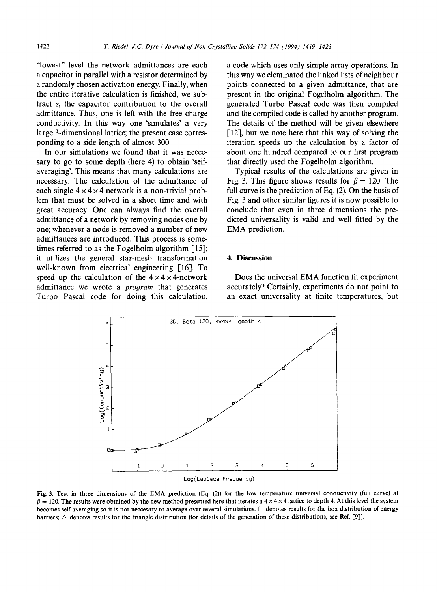"lowest" level the network admittances are each a capacitor in parallel with a resistor determined by a randomly chosen activation energy. Finally, when the entire iterative calculation is finished, we subtract s, the capacitor contribution to the overall admittance. Thus, one is left with the free charge conductivity. In this way one 'simulates' a very large 3-dimensional lattice; the present case corresponding to a side length of almost 300.

In our simulations we found that it was neccesary to go to some depth (here 4) to obtain 'selfaveraging'. This means that many calculations are necessary. The calculation of the admittance of each single  $4 \times 4 \times 4$  network is a non-trivial problem that must be solved in a short time and with great accuracy. One can always find the overall admittance of a network by removing nodes one by one; whenever a node is removed a number of new admittances are introduced. This process is sometimes referred to as the Fogelholm algorithm [15]; it utilizes the general star-mesh transformation well-known from electrical engineering [16]. To speed up the calculation of the  $4 \times 4 \times 4$ -network admittance we wrote a *program* that generates Turbo Pascal code for doing this calculation, a code which uses only simple array operations. In this way we eleminated the linked lists of neighbour points connected to a given admittance, that are present in the original Fogelholm algorithm. The generated Turbo Pascal code was then compiled and the compiled code is called by another program. The details of the method will be given elsewhere [12], but we note here that this way of solving the iteration speeds up the calculation by a factor of about one hundred compared to our first program that directly used the Fogelholm algorithm.

Typical results of the calculations are given in Fig. 3. This figure shows results for  $\beta = 120$ . The full curve is the prediction of Eq. (2). On the basis of Fig. 3 and other similar figures it is now possible to conclude that even in three dimensions the predicted universality is valid and well fitted by the EMA prediction.

# **4. Discussion**

Does the universal EMA function fit experiment accurately? Certainly, experiments do not point to an exact universality at finite temperatures, but



Fig. 3. Test in three dimensions of the EMA prediction (Eq. (2)) for the low temperature universal conductivity (full curve) at  $\beta = 120$ . The results were obtained by the new method presented here that iterates a  $4 \times 4 \times 4$  lattice to depth 4. At this level the system becomes self-averaging so it is not neccesary to average over several simulations. [] denotes results for the box distribution of energy barriers;  $\triangle$  denotes results for the triangle distribution (for details of the generation of these distributions, see Ref. [9]).